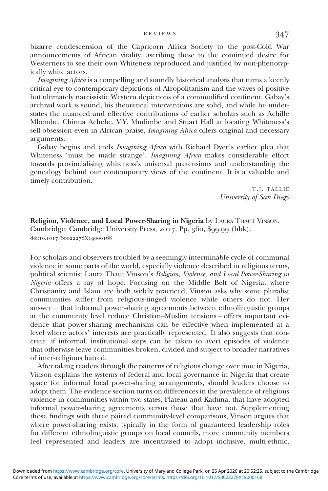bizarre condescension of the Capricorn Africa Society to the post-Cold War announcements of African vitality, ascribing these to the continued desire for Westerners to see their own Whiteness reproduced and justified by non-phenotypically white actors.

Imagining Africa is a compelling and soundly historical analysis that turns a keenly critical eye to contemporary depictions of Afropolitanism and the waves of positive but ultimately narcissistic Western depictions of a commodified continent. Gabay's archival work is sound, his theoretical interventions are solid, and while he understates the nuanced and effective contributions of earlier scholars such as Achille Mbembe, Chinua Achebe, V.Y. Mudimbe and Stuart Hall at locating Whiteness's self-obsession even in African praise, *Imagining Africa* offers original and necessary arguments.

Gabay begins and ends Imagining Africa with Richard Dyer's earlier plea that Whiteness 'must be made strange'. Imagining Africa makes considerable effort towards provincialising whiteness's universal pretensions and understanding the genealogy behind our contemporary views of the continent. It is a valuable and timely contribution.

> T.J. TALLIE University of San Diego

Religion, Violence, and Local Power-Sharing in Nigeria by LAURA THAUT VINSON. Cambridge: Cambridge University Press, 2017. Pp. 360, \$99.99 (hbk). doi:10.1017/Soo22278X19000168

For scholars and observers troubled by a seemingly interminable cycle of communal violence in some parts of the world, especially violence described in religious terms, political scientist Laura Thaut Vinson's Religion, Violence, and Local Power-Sharing in Nigeria offers a ray of hope. Focusing on the Middle Belt of Nigeria, where Christianity and Islam are both widely practiced, Vinson asks why some pluralist communities suffer from religious-tinged violence while others do not. Her answer – that informal power-sharing agreements between ethnolinguistic groups at the community level reduce Christian–Muslim tensions – offers important evidence that power-sharing mechanisms can be effective when implemented at a level where actors' interests are practically represented. It also suggests that concrete, if informal, institutional steps can be taken to avert episodes of violence that otherwise leave communities broken, divided and subject to broader narratives of inter-religious hatred.

After taking readers through the patterns of religious change over time in Nigeria, Vinson explains the systems of federal and local governance in Nigeria that create space for informal local power-sharing arrangements, should leaders choose to adopt them. The evidence section turns on differences in the prevalence of religious violence in communities within two states, Plateau and Kaduna, that have adopted informal power-sharing agreements versus those that have not. Supplementing those findings with three paired community-level comparisons, Vinson argues that where power-sharing exists, typically in the form of guaranteed leadership roles for different ethnolinguistic groups on local councils, more community members feel represented and leaders are incentivised to adopt inclusive, multi-ethnic,